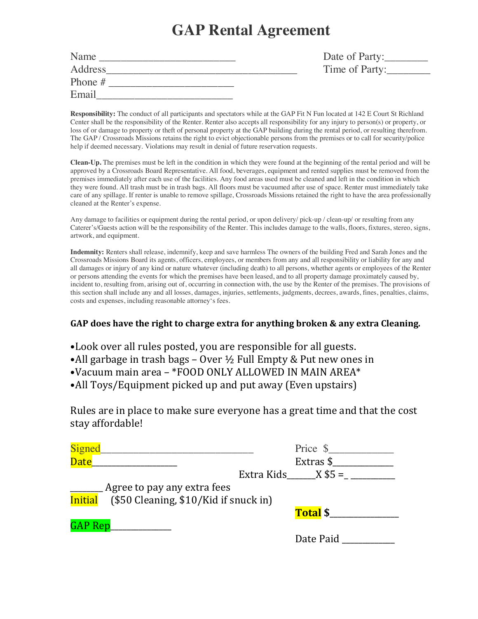# **GAP Rental Agreement**

| Name      |  |
|-----------|--|
| Address   |  |
| Phone $#$ |  |
| Email     |  |

Name \_\_\_\_\_\_\_\_\_\_\_\_\_\_\_\_\_\_\_\_\_\_\_\_\_ Date of Party:\_\_\_\_\_\_\_\_ Time of Party:

**Responsibility:** The conduct of all participants and spectators while at the GAP Fit N Fun located at 142 E Court St Richland Center shall be the responsibility of the Renter. Renter also accepts all responsibility for any injury to person(s) or property, or loss of or damage to property or theft of personal property at the GAP building during the rental period, or resulting therefrom. The GAP / Crossroads Missions retains the right to evict objectionable persons from the premises or to call for security/police help if deemed necessary. Violations may result in denial of future reservation requests.

**Clean-Up.** The premises must be left in the condition in which they were found at the beginning of the rental period and will be approved by a Crossroads Board Representative. All food, beverages, equipment and rented supplies must be removed from the premises immediately after each use of the facilities. Any food areas used must be cleaned and left in the condition in which they were found. All trash must be in trash bags. All floors must be vacuumed after use of space. Renter must immediately take care of any spillage. If renter is unable to remove spillage, Crossroads Missions retained the right to have the area professionally cleaned at the Renter's expense.

Any damage to facilities or equipment during the rental period, or upon delivery/ pick-up / clean-up/ or resulting from any Caterer's/Guests action will be the responsibility of the Renter. This includes damage to the walls, floors, fixtures, stereo, signs, artwork, and equipment.

**Indemnity:** Renters shall release, indemnify, keep and save harmless The owners of the building Fred and Sarah Jones and the Crossroads Missions Board its agents, officers, employees, or members from any and all responsibility or liability for any and all damages or injury of any kind or nature whatever (including death) to all persons, whether agents or employees of the Renter or persons attending the events for which the premises have been leased, and to all property damage proximately caused by, incident to, resulting from, arising out of, occurring in connection with, the use by the Renter of the premises. The provisions of this section shall include any and all losses, damages, injuries, settlements, judgments, decrees, awards, fines, penalties, claims, costs and expenses, including reasonable attorney's fees.

## GAP does have the right to charge extra for anything broken & any extra Cleaning.

- •Look over all rules posted, you are responsible for all guests.
- •All garbage in trash bags Over  $\frac{1}{2}$  Full Empty & Put new ones in
- •Vacuum main area \*FOOD ONLY ALLOWED IN MAIN AREA\*
- All Toys/Equipment picked up and put away (Even upstairs)

Rules are in place to make sure everyone has a great time and that the cost stay affordable!

| Signed                                        | Price \$             |
|-----------------------------------------------|----------------------|
| <b>Date</b>                                   | Extras \$            |
|                                               | Extra Kids $X$ \$5 = |
| Agree to pay any extra fees                   |                      |
| Initial (\$50 Cleaning, \$10/Kid if snuck in) |                      |
|                                               | <b>Total \$</b>      |
| GAP Rep____________                           |                      |
|                                               | Date Paid            |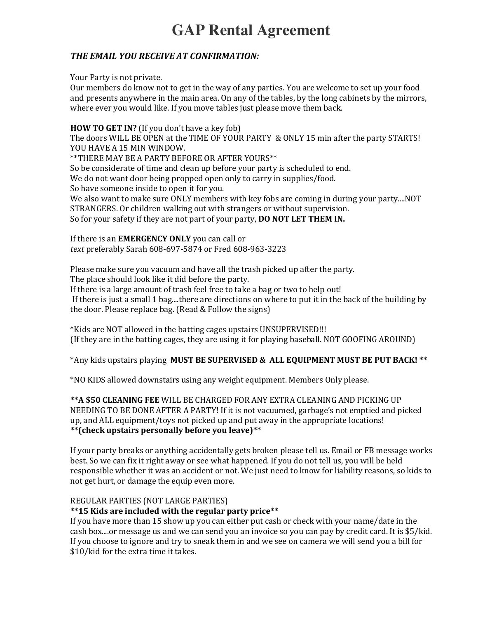## **THE EMAIL YOU RECEIVE AT CONFIRMATION:**

Your Party is not private.

Our members do know not to get in the way of any parties. You are welcome to set up your food and presents anywhere in the main area. On any of the tables, by the long cabinets by the mirrors, where ever you would like. If you move tables just please move them back.

**HOW TO GET IN?** (If you don't have a key fob) The doors WILL BE OPEN at the TIME OF YOUR PARTY & ONLY 15 min after the party STARTS! YOU HAVE A 15 MIN WINDOW.

\*\*THERE MAY BE A PARTY BEFORE OR AFTER YOURS\*\*

So be considerate of time and clean up before your party is scheduled to end.

We do not want door being propped open only to carry in supplies/food.

So have someone inside to open it for you.

We also want to make sure ONLY members with key fobs are coming in during your party....NOT STRANGERS. Or children walking out with strangers or without supervision. So for your safety if they are not part of your party, **DO NOT LET THEM IN.** 

If there is an **EMERGENCY ONLY** you can call or *text* preferably Sarah 608-697-5874 or Fred 608-963-3223

Please make sure you vacuum and have all the trash picked up after the party. The place should look like it did before the party.

If there is a large amount of trash feel free to take a bag or two to help out!

If there is just a small 1 bag....there are directions on where to put it in the back of the building by the door. Please replace bag. (Read & Follow the signs)

\*Kids are NOT allowed in the batting cages upstairs UNSUPERVISED!!! (If they are in the batting cages, they are using it for playing baseball. NOT GOOFING AROUND)

\*Any kids upstairs playing MUST BE SUPERVISED & ALL EQUIPMENT MUST BE PUT BACK! \*\*

\*NO KIDS allowed downstairs using any weight equipment. Members Only please. 

**\*\*A \$50 CLEANING FEE** WILL BE CHARGED FOR ANY EXTRA CLEANING AND PICKING UP NEEDING TO BE DONE AFTER A PARTY! If it is not vacuumed, garbage's not emptied and picked up, and ALL equipment/toys not picked up and put away in the appropriate locations! **\*\*(check upstairs personally before you leave)\*\***

If your party breaks or anything accidentally gets broken please tell us. Email or FB message works best. So we can fix it right away or see what happened. If you do not tell us, you will be held responsible whether it was an accident or not. We just need to know for liability reasons, so kids to not get hurt, or damage the equip even more.

#### REGULAR PARTIES (NOT LARGE PARTIES)

#### \*\*15 Kids are included with the regular party price<sup>\*\*</sup>

If you have more than 15 show up you can either put cash or check with your name/date in the cash box....or message us and we can send you an invoice so you can pay by credit card. It is \$5/kid. If you choose to ignore and try to sneak them in and we see on camera we will send you a bill for \$10/kid for the extra time it takes.